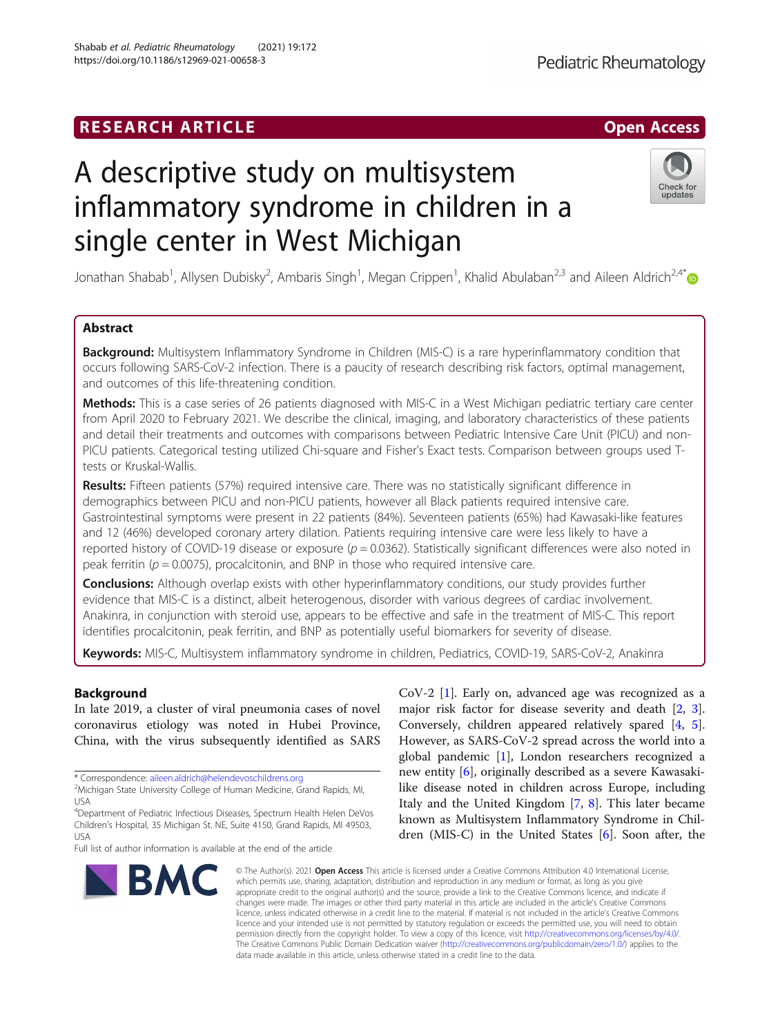# **RESEARCH ARTICLE Example 2018 12:00 Department of the Contract Open Access**

# A descriptive study on multisystem inflammatory syndrome in children in a single center in West Michigan

Jonathan Shabab<sup>1</sup>, Allysen Dubisky<sup>2</sup>, Ambaris Singh<sup>1</sup>, Megan Crippen<sup>1</sup>, Khalid Abulaban<sup>2,3</sup> and Aileen Aldrich<sup>2,4\*</sup>

# Abstract

Background: Multisystem Inflammatory Syndrome in Children (MIS-C) is a rare hyperinflammatory condition that occurs following SARS-CoV-2 infection. There is a paucity of research describing risk factors, optimal management, and outcomes of this life-threatening condition.

Methods: This is a case series of 26 patients diagnosed with MIS-C in a West Michigan pediatric tertiary care center from April 2020 to February 2021. We describe the clinical, imaging, and laboratory characteristics of these patients and detail their treatments and outcomes with comparisons between Pediatric Intensive Care Unit (PICU) and non-PICU patients. Categorical testing utilized Chi-square and Fisher's Exact tests. Comparison between groups used Ttests or Kruskal-Wallis.

Results: Fifteen patients (57%) required intensive care. There was no statistically significant difference in demographics between PICU and non-PICU patients, however all Black patients required intensive care. Gastrointestinal symptoms were present in 22 patients (84%). Seventeen patients (65%) had Kawasaki-like features and 12 (46%) developed coronary artery dilation. Patients requiring intensive care were less likely to have a reported history of COVID-19 disease or exposure ( $p = 0.0362$ ). Statistically significant differences were also noted in peak ferritin ( $p = 0.0075$ ), procalcitonin, and BNP in those who required intensive care.

**Conclusions:** Although overlap exists with other hyperinflammatory conditions, our study provides further evidence that MIS-C is a distinct, albeit heterogenous, disorder with various degrees of cardiac involvement. Anakinra, in conjunction with steroid use, appears to be effective and safe in the treatment of MIS-C. This report identifies procalcitonin, peak ferritin, and BNP as potentially useful biomarkers for severity of disease.

Keywords: MIS-C, Multisystem inflammatory syndrome in children, Pediatrics, COVID-19, SARS-CoV-2, Anakinra

# Background

In late 2019, a cluster of viral pneumonia cases of novel coronavirus etiology was noted in Hubei Province, China, with the virus subsequently identified as SARS

\* Correspondence: [aileen.aldrich@helendevoschildrens.org](mailto:aileen.aldrich@helendevoschildrens.org) <sup>2</sup>

# Shabab et al. Pediatric Rheumatology (2021) 19:172 https://doi.org/10.1186/s12969-021-00658-3



© The Author(s), 2021 **Open Access** This article is licensed under a Creative Commons Attribution 4.0 International License, which permits use, sharing, adaptation, distribution and reproduction in any medium or format, as long as you give appropriate credit to the original author(s) and the source, provide a link to the Creative Commons licence, and indicate if changes were made. The images or other third party material in this article are included in the article's Creative Commons licence, unless indicated otherwise in a credit line to the material. If material is not included in the article's Creative Commons licence and your intended use is not permitted by statutory regulation or exceeds the permitted use, you will need to obtain permission directly from the copyright holder. To view a copy of this licence, visit [http://creativecommons.org/licenses/by/4.0/.](http://creativecommons.org/licenses/by/4.0/) The Creative Commons Public Domain Dedication waiver [\(http://creativecommons.org/publicdomain/zero/1.0/](http://creativecommons.org/publicdomain/zero/1.0/)) applies to the data made available in this article, unless otherwise stated in a credit line to the data.

Check for updates

Pediatric Rheumatology



<sup>&</sup>lt;sup>2</sup>Michigan State University College of Human Medicine, Grand Rapids, MI, USA

<sup>4</sup> Department of Pediatric Infectious Diseases, Spectrum Health Helen DeVos Children's Hospital, 35 Michigan St. NE, Suite 4150, Grand Rapids, MI 49503, USA

Full list of author information is available at the end of the article

CoV-2 [\[1\]](#page-8-0). Early on, advanced age was recognized as a major risk factor for disease severity and death [[2](#page-8-0), [3](#page-8-0)]. Conversely, children appeared relatively spared [[4,](#page-8-0) [5](#page-8-0)]. However, as SARS-CoV-2 spread across the world into a global pandemic [\[1\]](#page-8-0), London researchers recognized a new entity [[6\]](#page-8-0), originally described as a severe Kawasakilike disease noted in children across Europe, including Italy and the United Kingdom [[7](#page-8-0), [8](#page-8-0)]. This later became known as Multisystem Inflammatory Syndrome in Children (MIS-C) in the United States [[6](#page-8-0)]. Soon after, the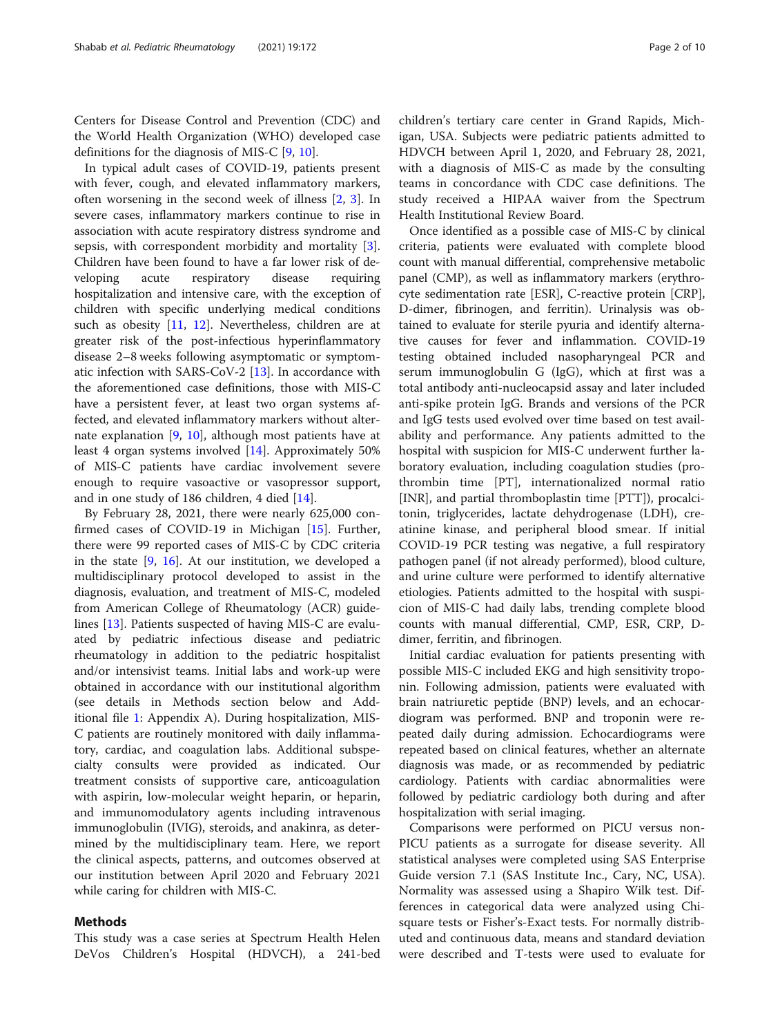Centers for Disease Control and Prevention (CDC) and the World Health Organization (WHO) developed case definitions for the diagnosis of MIS-C [\[9](#page-8-0), [10](#page-8-0)].

In typical adult cases of COVID-19, patients present with fever, cough, and elevated inflammatory markers, often worsening in the second week of illness [[2,](#page-8-0) [3\]](#page-8-0). In severe cases, inflammatory markers continue to rise in association with acute respiratory distress syndrome and sepsis, with correspondent morbidity and mortality [\[3](#page-8-0)]. Children have been found to have a far lower risk of developing acute respiratory disease requiring hospitalization and intensive care, with the exception of children with specific underlying medical conditions such as obesity [[11](#page-8-0), [12](#page-8-0)]. Nevertheless, children are at greater risk of the post-infectious hyperinflammatory disease 2–8 weeks following asymptomatic or symptomatic infection with SARS-CoV-2 [[13\]](#page-8-0). In accordance with the aforementioned case definitions, those with MIS-C have a persistent fever, at least two organ systems affected, and elevated inflammatory markers without alternate explanation [[9,](#page-8-0) [10\]](#page-8-0), although most patients have at least 4 organ systems involved [[14\]](#page-8-0). Approximately 50% of MIS-C patients have cardiac involvement severe enough to require vasoactive or vasopressor support, and in one study of 186 children, 4 died [[14\]](#page-8-0).

By February 28, 2021, there were nearly 625,000 confirmed cases of COVID-19 in Michigan [\[15](#page-8-0)]. Further, there were 99 reported cases of MIS-C by CDC criteria in the state [[9,](#page-8-0) [16\]](#page-8-0). At our institution, we developed a multidisciplinary protocol developed to assist in the diagnosis, evaluation, and treatment of MIS-C, modeled from American College of Rheumatology (ACR) guidelines [[13\]](#page-8-0). Patients suspected of having MIS-C are evaluated by pediatric infectious disease and pediatric rheumatology in addition to the pediatric hospitalist and/or intensivist teams. Initial labs and work-up were obtained in accordance with our institutional algorithm (see details in Methods section below and Additional file [1:](#page-8-0) Appendix A). During hospitalization, MIS-C patients are routinely monitored with daily inflammatory, cardiac, and coagulation labs. Additional subspecialty consults were provided as indicated. Our treatment consists of supportive care, anticoagulation with aspirin, low-molecular weight heparin, or heparin, and immunomodulatory agents including intravenous immunoglobulin (IVIG), steroids, and anakinra, as determined by the multidisciplinary team. Here, we report the clinical aspects, patterns, and outcomes observed at our institution between April 2020 and February 2021 while caring for children with MIS-C.

# Methods

This study was a case series at Spectrum Health Helen DeVos Children's Hospital (HDVCH), a 241-bed

children's tertiary care center in Grand Rapids, Michigan, USA. Subjects were pediatric patients admitted to HDVCH between April 1, 2020, and February 28, 2021, with a diagnosis of MIS-C as made by the consulting teams in concordance with CDC case definitions. The study received a HIPAA waiver from the Spectrum Health Institutional Review Board.

Once identified as a possible case of MIS-C by clinical criteria, patients were evaluated with complete blood count with manual differential, comprehensive metabolic panel (CMP), as well as inflammatory markers (erythrocyte sedimentation rate [ESR], C-reactive protein [CRP], D-dimer, fibrinogen, and ferritin). Urinalysis was obtained to evaluate for sterile pyuria and identify alternative causes for fever and inflammation. COVID-19 testing obtained included nasopharyngeal PCR and serum immunoglobulin G (IgG), which at first was a total antibody anti-nucleocapsid assay and later included anti-spike protein IgG. Brands and versions of the PCR and IgG tests used evolved over time based on test availability and performance. Any patients admitted to the hospital with suspicion for MIS-C underwent further laboratory evaluation, including coagulation studies (prothrombin time [PT], internationalized normal ratio [INR], and partial thromboplastin time [PTT]), procalcitonin, triglycerides, lactate dehydrogenase (LDH), creatinine kinase, and peripheral blood smear. If initial COVID-19 PCR testing was negative, a full respiratory pathogen panel (if not already performed), blood culture, and urine culture were performed to identify alternative etiologies. Patients admitted to the hospital with suspicion of MIS-C had daily labs, trending complete blood counts with manual differential, CMP, ESR, CRP, Ddimer, ferritin, and fibrinogen.

Initial cardiac evaluation for patients presenting with possible MIS-C included EKG and high sensitivity troponin. Following admission, patients were evaluated with brain natriuretic peptide (BNP) levels, and an echocardiogram was performed. BNP and troponin were repeated daily during admission. Echocardiograms were repeated based on clinical features, whether an alternate diagnosis was made, or as recommended by pediatric cardiology. Patients with cardiac abnormalities were followed by pediatric cardiology both during and after hospitalization with serial imaging.

Comparisons were performed on PICU versus non-PICU patients as a surrogate for disease severity. All statistical analyses were completed using SAS Enterprise Guide version 7.1 (SAS Institute Inc., Cary, NC, USA). Normality was assessed using a Shapiro Wilk test. Differences in categorical data were analyzed using Chisquare tests or Fisher's-Exact tests. For normally distributed and continuous data, means and standard deviation were described and T-tests were used to evaluate for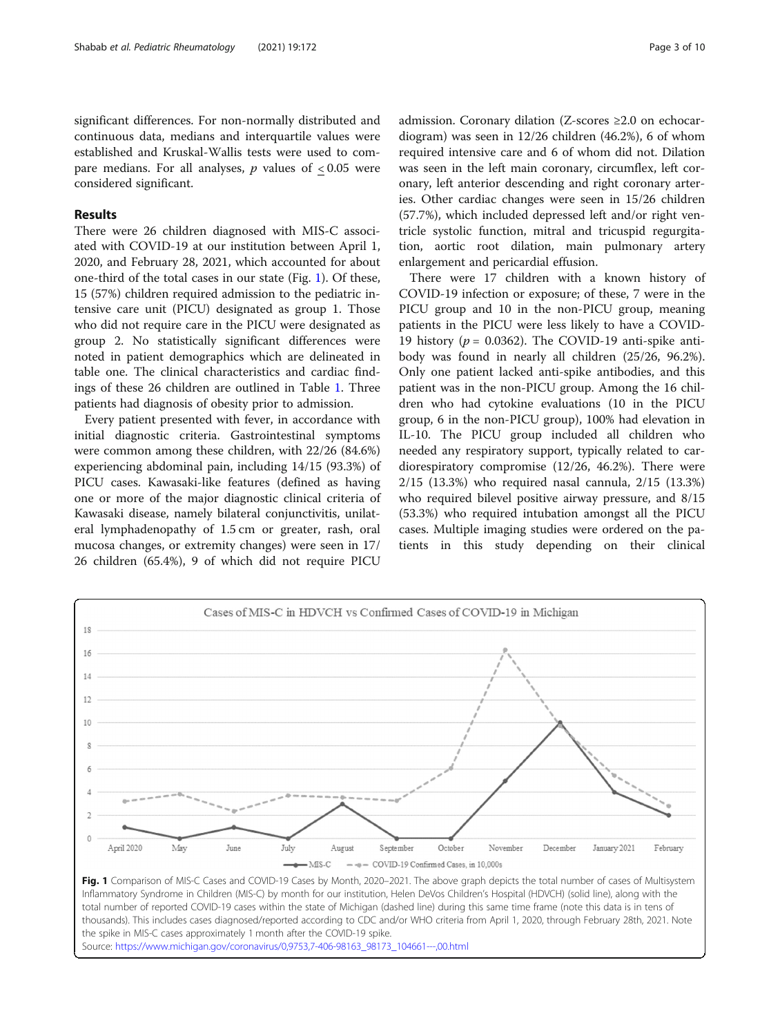significant differences. For non-normally distributed and continuous data, medians and interquartile values were established and Kruskal-Wallis tests were used to compare medians. For all analyses,  $p$  values of  $<0.05$  were considered significant.

# Results

18 16 14

There were 26 children diagnosed with MIS-C associated with COVID-19 at our institution between April 1, 2020, and February 28, 2021, which accounted for about one-third of the total cases in our state (Fig. 1). Of these, 15 (57%) children required admission to the pediatric intensive care unit (PICU) designated as group 1. Those who did not require care in the PICU were designated as group 2. No statistically significant differences were noted in patient demographics which are delineated in table one. The clinical characteristics and cardiac findings of these 26 children are outlined in Table [1](#page-3-0). Three patients had diagnosis of obesity prior to admission.

Every patient presented with fever, in accordance with initial diagnostic criteria. Gastrointestinal symptoms were common among these children, with 22/26 (84.6%) experiencing abdominal pain, including 14/15 (93.3%) of PICU cases. Kawasaki-like features (defined as having one or more of the major diagnostic clinical criteria of Kawasaki disease, namely bilateral conjunctivitis, unilateral lymphadenopathy of 1.5 cm or greater, rash, oral mucosa changes, or extremity changes) were seen in 17/ 26 children (65.4%), 9 of which did not require PICU admission. Coronary dilation (Z-scores ≥2.0 on echocardiogram) was seen in 12/26 children (46.2%), 6 of whom required intensive care and 6 of whom did not. Dilation was seen in the left main coronary, circumflex, left coronary, left anterior descending and right coronary arteries. Other cardiac changes were seen in 15/26 children (57.7%), which included depressed left and/or right ventricle systolic function, mitral and tricuspid regurgitation, aortic root dilation, main pulmonary artery enlargement and pericardial effusion.

There were 17 children with a known history of COVID-19 infection or exposure; of these, 7 were in the PICU group and 10 in the non-PICU group, meaning patients in the PICU were less likely to have a COVID-19 history ( $p = 0.0362$ ). The COVID-19 anti-spike antibody was found in nearly all children (25/26, 96.2%). Only one patient lacked anti-spike antibodies, and this patient was in the non-PICU group. Among the 16 children who had cytokine evaluations (10 in the PICU group, 6 in the non-PICU group), 100% had elevation in IL-10. The PICU group included all children who needed any respiratory support, typically related to cardiorespiratory compromise (12/26, 46.2%). There were 2/15 (13.3%) who required nasal cannula, 2/15 (13.3%) who required bilevel positive airway pressure, and 8/15 (53.3%) who required intubation amongst all the PICU cases. Multiple imaging studies were ordered on the patients in this study depending on their clinical



Cases of MIS-C in HDVCH vs Confirmed Cases of COVID-19 in Michigan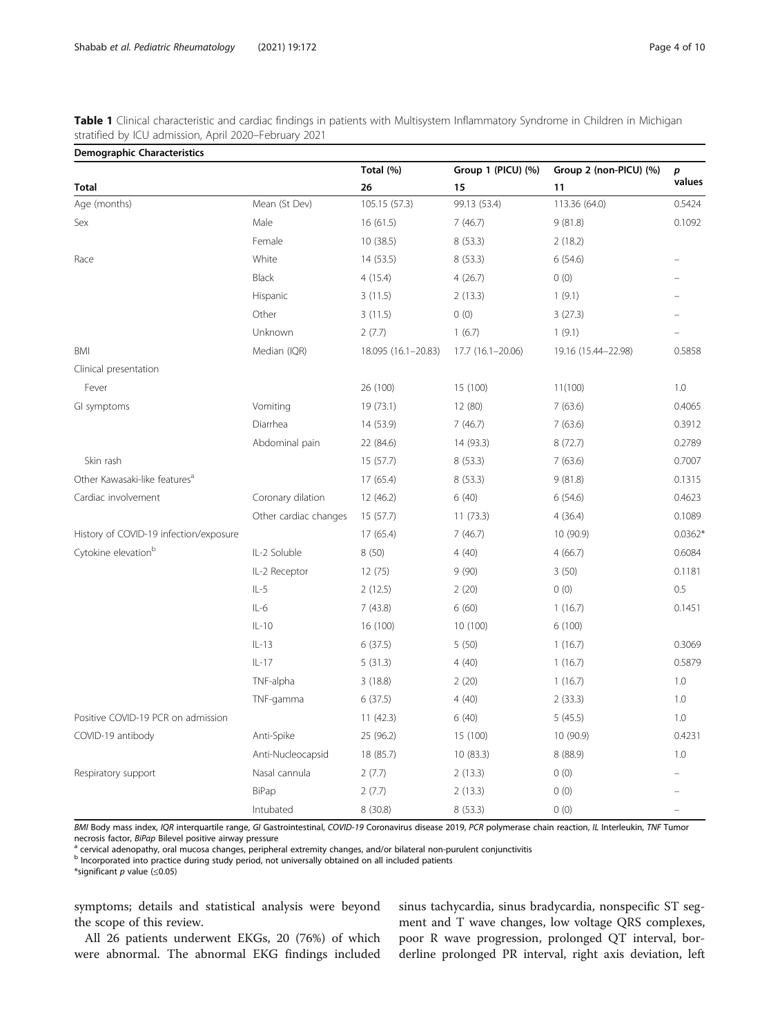<span id="page-3-0"></span>

|  | Table 1 Clinical characteristic and cardiac findings in patients with Multisystem Inflammatory Syndrome in Children in Michigan |  |  |  |
|--|---------------------------------------------------------------------------------------------------------------------------------|--|--|--|
|  | stratified by ICU admission, April 2020–February 2021                                                                           |  |  |  |

| <b>Demographic Characteristics</b>        |                       |                     |                    |                        |                  |
|-------------------------------------------|-----------------------|---------------------|--------------------|------------------------|------------------|
|                                           |                       | Total (%)           | Group 1 (PICU) (%) | Group 2 (non-PICU) (%) | $\boldsymbol{p}$ |
| <b>Total</b>                              |                       | 26                  | 15                 | 11                     | values           |
| Age (months)                              | Mean (St Dev)         | 105.15 (57.3)       | 99.13 (53.4)       | 113.36 (64.0)          | 0.5424           |
| Sex                                       | Male                  | 16(61.5)            | 7(46.7)            | 9(81.8)                | 0.1092           |
|                                           | Female                | 10(38.5)            | 8(53.3)            | 2(18.2)                |                  |
| Race                                      | White                 | 14 (53.5)           | 8(53.3)            | 6(54.6)                |                  |
|                                           | <b>Black</b>          | 4(15.4)             | 4(26.7)            | 0(0)                   |                  |
|                                           | Hispanic              | 3(11.5)             | 2(13.3)            | 1(9.1)                 |                  |
|                                           | Other                 | 3(11.5)             | 0(0)               | 3(27.3)                |                  |
|                                           | Unknown               | 2(7.7)              | 1(6.7)             | 1(9.1)                 |                  |
| <b>BMI</b>                                | Median (IQR)          | 18.095 (16.1-20.83) | 17.7 (16.1-20.06)  | 19.16 (15.44-22.98)    | 0.5858           |
| Clinical presentation                     |                       |                     |                    |                        |                  |
| Fever                                     |                       | 26 (100)            | 15 (100)           | 11(100)                | 1.0              |
| GI symptoms                               | Vomiting              | 19 (73.1)           | 12 (80)            | 7(63.6)                | 0.4065           |
|                                           | Diarrhea              | 14 (53.9)           | 7(46.7)            | 7(63.6)                | 0.3912           |
|                                           | Abdominal pain        | 22 (84.6)           | 14 (93.3)          | 8(72.7)                | 0.2789           |
| Skin rash                                 |                       | 15(57.7)            | 8(53.3)            | 7(63.6)                | 0.7007           |
| Other Kawasaki-like features <sup>a</sup> |                       | 17(65.4)            | 8 (53.3)           | 9(81.8)                | 0.1315           |
| Cardiac involvement                       | Coronary dilation     | 12 (46.2)           | 6(40)              | 6(54.6)                | 0.4623           |
|                                           | Other cardiac changes | 15(57.7)            | 11(73.3)           | 4(36.4)                | 0.1089           |
| History of COVID-19 infection/exposure    |                       | 17(65.4)            | 7(46.7)            | 10 (90.9)              | $0.0362*$        |
| Cytokine elevation <sup>b</sup>           | IL-2 Soluble          | 8(50)               | 4(40)              | 4(66.7)                | 0.6084           |
|                                           | IL-2 Receptor         | 12(75)              | 9(90)              | 3(50)                  | 0.1181           |
|                                           | $IL-5$                | 2(12.5)             | 2(20)              | 0(0)                   | 0.5              |
|                                           | $IL-6$                | 7(43.8)             | 6(60)              | 1(16.7)                | 0.1451           |
|                                           | $IL-10$               | 16 (100)            | 10 (100)           | 6(100)                 |                  |
|                                           | $IL-13$               | 6(37.5)             | 5(50)              | 1(16.7)                | 0.3069           |
|                                           | $IL-17$               | 5(31.3)             | 4(40)              | 1(16.7)                | 0.5879           |
|                                           | TNF-alpha             | 3(18.8)             | 2(20)              | 1(16.7)                | 1.0              |
|                                           | TNF-gamma             | 6(37.5)             | 4(40)              | 2(33.3)                | 1.0              |
| Positive COVID-19 PCR on admission        |                       | 11(42.3)            | 6(40)              | 5(45.5)                | 1.0              |
| COVID-19 antibody                         | Anti-Spike            | 25 (96.2)           | 15 (100)           | 10 (90.9)              | 0.4231           |
|                                           | Anti-Nucleocapsid     | 18 (85.7)           | 10(83.3)           | 8 (88.9)               | 1.0              |
| Respiratory support                       | Nasal cannula         | 2(7.7)              | 2(13.3)            | 0(0)                   |                  |
|                                           | BiPap                 | 2(7.7)              | 2(13.3)            | 0(0)                   |                  |
|                                           | Intubated             | 8(30.8)             | 8(53.3)            | 0(0)                   |                  |

BMI Body mass index, IQR interquartile range, GI Gastrointestinal, COVID-19 Coronavirus disease 2019, PCR polymerase chain reaction, IL Interleukin, TNF Tumor

necrosis factor, BiPap Bilevel positive airway pressure<br><sup>a</sup> cervical adenopathy, oral mucosa changes, peripheral extremity changes, and/or bilateral non-purulent conjunctivitis

<sup>b</sup> Incorporated into practice during study period, not universally obtained on all included patients

\*significant  $p$  value ( $\leq$ 0.05)

symptoms; details and statistical analysis were beyond the scope of this review.

All 26 patients underwent EKGs, 20 (76%) of which were abnormal. The abnormal EKG findings included sinus tachycardia, sinus bradycardia, nonspecific ST segment and T wave changes, low voltage QRS complexes, poor R wave progression, prolonged QT interval, borderline prolonged PR interval, right axis deviation, left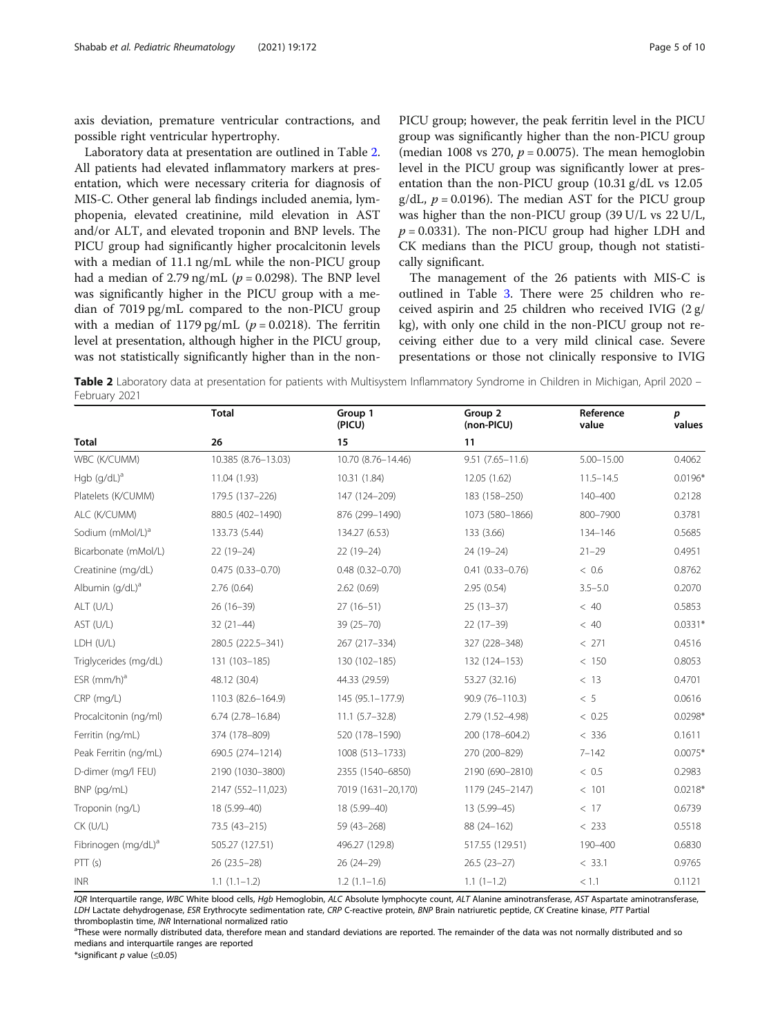axis deviation, premature ventricular contractions, and possible right ventricular hypertrophy.

Laboratory data at presentation are outlined in Table 2. All patients had elevated inflammatory markers at presentation, which were necessary criteria for diagnosis of MIS-C. Other general lab findings included anemia, lymphopenia, elevated creatinine, mild elevation in AST and/or ALT, and elevated troponin and BNP levels. The PICU group had significantly higher procalcitonin levels with a median of 11.1 ng/mL while the non-PICU group had a median of 2.79 ng/mL ( $p = 0.0298$ ). The BNP level was significantly higher in the PICU group with a median of 7019 pg/mL compared to the non-PICU group with a median of 1179 pg/mL ( $p = 0.0218$ ). The ferritin level at presentation, although higher in the PICU group, was not statistically significantly higher than in the non-

PICU group; however, the peak ferritin level in the PICU group was significantly higher than the non-PICU group (median 1008 vs 270,  $p = 0.0075$ ). The mean hemoglobin level in the PICU group was significantly lower at presentation than the non-PICU group (10.31 g/dL vs 12.05  $g/dL$ ,  $p = 0.0196$ ). The median AST for the PICU group was higher than the non-PICU group (39 U/L vs 22 U/L,  $p = 0.0331$ ). The non-PICU group had higher LDH and CK medians than the PICU group, though not statistically significant.

The management of the 26 patients with MIS-C is outlined in Table [3.](#page-5-0) There were 25 children who received aspirin and 25 children who received IVIG (2 g/ kg), with only one child in the non-PICU group not receiving either due to a very mild clinical case. Severe presentations or those not clinically responsive to IVIG

Table 2 Laboratory data at presentation for patients with Multisystem Inflammatory Syndrome in Children in Michigan, April 2020 -February 2021

|                                 | <b>Total</b>         | Group 1<br>(PICU)   | Group 2<br>(non-PICU) | Reference<br>value | p<br>values |
|---------------------------------|----------------------|---------------------|-----------------------|--------------------|-------------|
| <b>Total</b>                    | 26                   | 15                  | 11                    |                    |             |
| WBC (K/CUMM)                    | 10.385 (8.76-13.03)  | 10.70 (8.76-14.46)  | $9.51(7.65 - 11.6)$   | $5.00 - 15.00$     | 0.4062      |
| Hgb $(g/dL)^a$                  | 11.04 (1.93)         | 10.31 (1.84)        | 12.05 (1.62)          | $11.5 - 14.5$      | $0.0196*$   |
| Platelets (K/CUMM)              | 179.5 (137-226)      | 147 (124-209)       | 183 (158-250)         | 140-400            | 0.2128      |
| ALC (K/CUMM)                    | 880.5 (402-1490)     | 876 (299-1490)      | 1073 (580-1866)       | 800-7900           | 0.3781      |
| Sodium (mMol/L) <sup>a</sup>    | 133.73 (5.44)        | 134.27 (6.53)       | 133 (3.66)            | 134-146            | 0.5685      |
| Bicarbonate (mMol/L)            | $22(19-24)$          | $22(19-24)$         | 24 (19-24)            | $21 - 29$          | 0.4951      |
| Creatinine (mg/dL)              | $0.475(0.33 - 0.70)$ | $0.48(0.32 - 0.70)$ | $0.41(0.33 - 0.76)$   | < 0.6              | 0.8762      |
| Albumin (g/dL) <sup>a</sup>     | 2.76(0.64)           | 2.62(0.69)          | 2.95(0.54)            | $3.5 - 5.0$        | 0.2070      |
| ALT (U/L)                       | $26(16-39)$          | $27(16-51)$         | $25(13-37)$           | < 40               | 0.5853      |
| AST (U/L)                       | $32(21-44)$          | $39(25 - 70)$       | $22(17-39)$           | < 40               | $0.0331*$   |
| LDH (U/L)                       | 280.5 (222.5-341)    | 267 (217-334)       | 327 (228-348)         | < 271              | 0.4516      |
| Triglycerides (mg/dL)           | 131 (103-185)        | 130 (102-185)       | 132 (124-153)         | < 150              | 0.8053      |
| ESR $(mm/h)a$                   | 48.12 (30.4)         | 44.33 (29.59)       | 53.27 (32.16)         | < 13               | 0.4701      |
| CRP (mg/L)                      | 110.3 (82.6-164.9)   | 145 (95.1-177.9)    | 90.9 (76-110.3)       | $~<~5$             | 0.0616      |
| Procalcitonin (ng/ml)           | $6.74(2.78 - 16.84)$ | $11.1 (5.7 - 32.8)$ | 2.79 (1.52-4.98)      | < 0.25             | $0.0298*$   |
| Ferritin (ng/mL)                | 374 (178-809)        | 520 (178-1590)      | 200 (178-604.2)       | < 336              | 0.1611      |
| Peak Ferritin (ng/mL)           | 690.5 (274-1214)     | 1008 (513-1733)     | 270 (200-829)         | $7 - 142$          | $0.0075*$   |
| D-dimer (mg/l FEU)              | 2190 (1030-3800)     | 2355 (1540-6850)    | 2190 (690-2810)       | < 0.5              | 0.2983      |
| BNP (pg/mL)                     | 2147 (552-11,023)    | 7019 (1631-20,170)  | 1179 (245-2147)       | < 101              | $0.0218*$   |
| Troponin (ng/L)                 | 18 (5.99-40)         | 18 (5.99-40)        | 13 (5.99-45)          | < 17               | 0.6739      |
| $CK$ (U/L)                      | 73.5 (43-215)        | 59 (43-268)         | 88 (24-162)           | < 233              | 0.5518      |
| Fibrinogen (mg/dL) <sup>a</sup> | 505.27 (127.51)      | 496.27 (129.8)      | 517.55 (129.51)       | 190-400            | 0.6830      |
| PTT(s)                          | 26 (23.5 - 28)       | $26(24-29)$         | $26.5(23-27)$         | < 33.1             | 0.9765      |
| <b>INR</b>                      | $1.1(1.1-1.2)$       | $1.2(1.1-1.6)$      | $1.1(1-1.2)$          | < 1.1              | 0.1121      |

IQR Interquartile range, WBC White blood cells, Hgb Hemoglobin, ALC Absolute lymphocyte count, ALT Alanine aminotransferase, AST Aspartate aminotransferase, LDH Lactate dehydrogenase, ESR Erythrocyte sedimentation rate, CRP C-reactive protein, BNP Brain natriuretic peptide, CK Creatine kinase, PTT Partial thromboplastin time, INR International normalized ratio

<sup>a</sup>These were normally distributed data, therefore mean and standard deviations are reported. The remainder of the data was not normally distributed and so medians and interquartile ranges are reported

\*significant p value (≤0.05)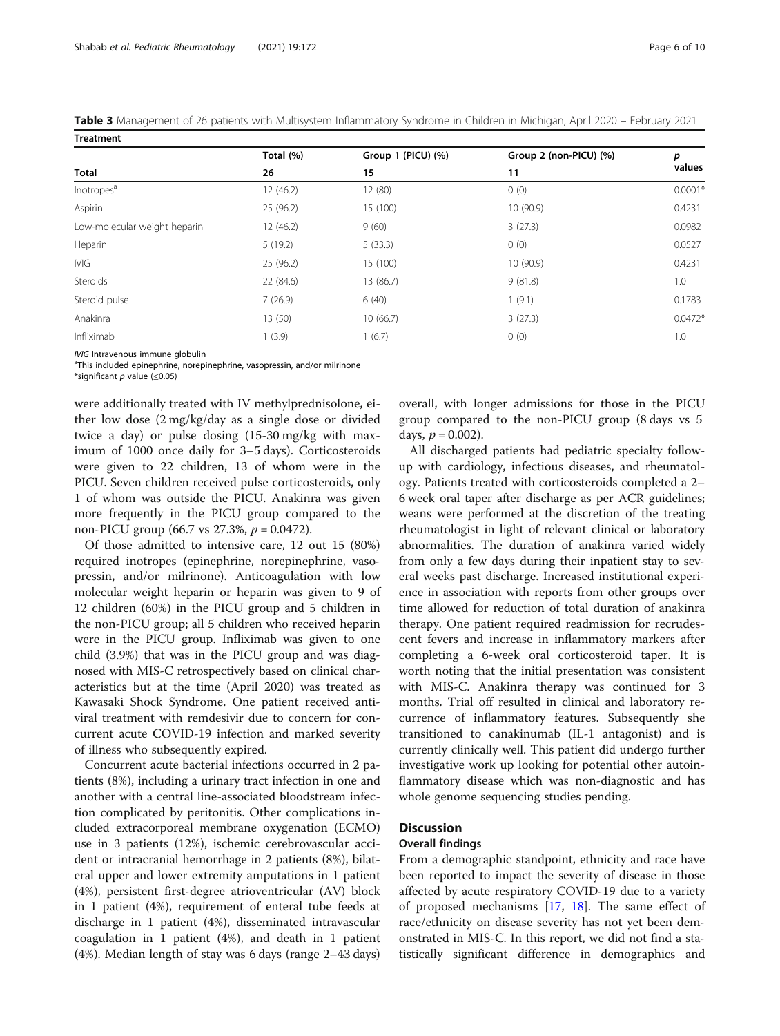<span id="page-5-0"></span>Table 3 Management of 26 patients with Multisystem Inflammatory Syndrome in Children in Michigan, April 2020 – February 2021 Treatment

|                              | Total (%) | Group 1 (PICU) (%) | Group 2 (non-PICU) (%) | р<br>values |
|------------------------------|-----------|--------------------|------------------------|-------------|
| <b>Total</b>                 | 26        | 15                 | 11                     |             |
| Inotropes <sup>a</sup>       | 12 (46.2) | 12 (80)            | 0(0)                   | $0.0001*$   |
| Aspirin                      | 25 (96.2) | 15 (100)           | 10 (90.9)              | 0.4231      |
| Low-molecular weight heparin | 12 (46.2) | 9(60)              | 3(27.3)                | 0.0982      |
| Heparin                      | 5(19.2)   | 5(33.3)            | 0(0)                   | 0.0527      |
| <b>IVIG</b>                  | 25 (96.2) | 15 (100)           | 10 (90.9)              | 0.4231      |
| Steroids                     | 22 (84.6) | 13 (86.7)          | 9(81.8)                | 1.0         |
| Steroid pulse                | 7(26.9)   | 6(40)              | 1(9.1)                 | 0.1783      |
| Anakinra                     | 13 (50)   | 10(66.7)           | 3(27.3)                | $0.0472*$   |
| Infliximab                   | 1(3.9)    | 1(6.7)             | 0(0)                   | 1.0         |

IVIG Intravenous immune globulin

<sup>a</sup>This included epinephrine, norepinephrine, vasopressin, and/or milrinone

\*significant p value (≤0.05)

were additionally treated with IV methylprednisolone, either low dose (2 mg/kg/day as a single dose or divided twice a day) or pulse dosing (15-30 mg/kg with maximum of 1000 once daily for 3–5 days). Corticosteroids were given to 22 children, 13 of whom were in the PICU. Seven children received pulse corticosteroids, only 1 of whom was outside the PICU. Anakinra was given more frequently in the PICU group compared to the non-PICU group (66.7 vs 27.3%,  $p = 0.0472$ ).

Of those admitted to intensive care, 12 out 15 (80%) required inotropes (epinephrine, norepinephrine, vasopressin, and/or milrinone). Anticoagulation with low molecular weight heparin or heparin was given to 9 of 12 children (60%) in the PICU group and 5 children in the non-PICU group; all 5 children who received heparin were in the PICU group. Infliximab was given to one child (3.9%) that was in the PICU group and was diagnosed with MIS-C retrospectively based on clinical characteristics but at the time (April 2020) was treated as Kawasaki Shock Syndrome. One patient received antiviral treatment with remdesivir due to concern for concurrent acute COVID-19 infection and marked severity of illness who subsequently expired.

Concurrent acute bacterial infections occurred in 2 patients (8%), including a urinary tract infection in one and another with a central line-associated bloodstream infection complicated by peritonitis. Other complications included extracorporeal membrane oxygenation (ECMO) use in 3 patients (12%), ischemic cerebrovascular accident or intracranial hemorrhage in 2 patients (8%), bilateral upper and lower extremity amputations in 1 patient (4%), persistent first-degree atrioventricular (AV) block in 1 patient (4%), requirement of enteral tube feeds at discharge in 1 patient (4%), disseminated intravascular coagulation in 1 patient (4%), and death in 1 patient (4%). Median length of stay was 6 days (range 2–43 days) overall, with longer admissions for those in the PICU group compared to the non-PICU group (8 days vs 5 days,  $p = 0.002$ ).

All discharged patients had pediatric specialty followup with cardiology, infectious diseases, and rheumatology. Patients treated with corticosteroids completed a 2– 6 week oral taper after discharge as per ACR guidelines; weans were performed at the discretion of the treating rheumatologist in light of relevant clinical or laboratory abnormalities. The duration of anakinra varied widely from only a few days during their inpatient stay to several weeks past discharge. Increased institutional experience in association with reports from other groups over time allowed for reduction of total duration of anakinra therapy. One patient required readmission for recrudescent fevers and increase in inflammatory markers after completing a 6-week oral corticosteroid taper. It is worth noting that the initial presentation was consistent with MIS-C. Anakinra therapy was continued for 3 months. Trial off resulted in clinical and laboratory recurrence of inflammatory features. Subsequently she transitioned to canakinumab (IL-1 antagonist) and is currently clinically well. This patient did undergo further investigative work up looking for potential other autoinflammatory disease which was non-diagnostic and has whole genome sequencing studies pending.

#### **Discussion**

#### Overall findings

From a demographic standpoint, ethnicity and race have been reported to impact the severity of disease in those affected by acute respiratory COVID-19 due to a variety of proposed mechanisms [\[17,](#page-8-0) [18](#page-8-0)]. The same effect of race/ethnicity on disease severity has not yet been demonstrated in MIS-C. In this report, we did not find a statistically significant difference in demographics and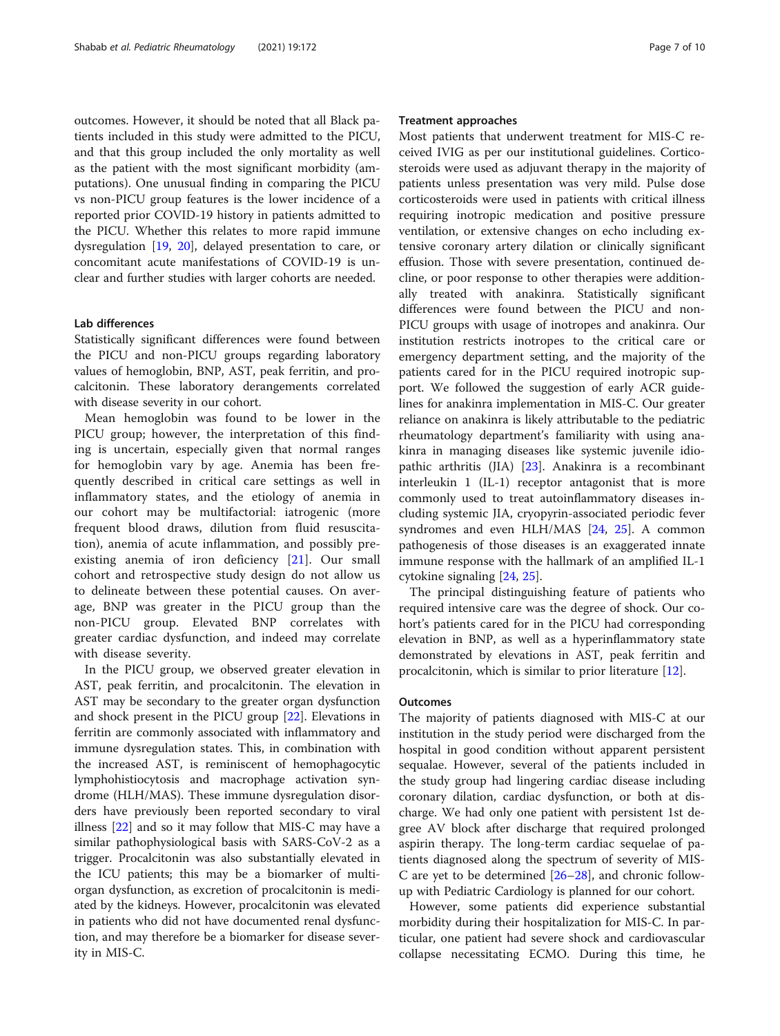outcomes. However, it should be noted that all Black patients included in this study were admitted to the PICU, and that this group included the only mortality as well as the patient with the most significant morbidity (amputations). One unusual finding in comparing the PICU vs non-PICU group features is the lower incidence of a reported prior COVID-19 history in patients admitted to the PICU. Whether this relates to more rapid immune dysregulation [\[19,](#page-8-0) [20](#page-9-0)], delayed presentation to care, or concomitant acute manifestations of COVID-19 is unclear and further studies with larger cohorts are needed.

## Lab differences

Statistically significant differences were found between the PICU and non-PICU groups regarding laboratory values of hemoglobin, BNP, AST, peak ferritin, and procalcitonin. These laboratory derangements correlated with disease severity in our cohort.

Mean hemoglobin was found to be lower in the PICU group; however, the interpretation of this finding is uncertain, especially given that normal ranges for hemoglobin vary by age. Anemia has been frequently described in critical care settings as well in inflammatory states, and the etiology of anemia in our cohort may be multifactorial: iatrogenic (more frequent blood draws, dilution from fluid resuscitation), anemia of acute inflammation, and possibly preexisting anemia of iron deficiency [[21\]](#page-9-0). Our small cohort and retrospective study design do not allow us to delineate between these potential causes. On average, BNP was greater in the PICU group than the non-PICU group. Elevated BNP correlates with greater cardiac dysfunction, and indeed may correlate with disease severity.

In the PICU group, we observed greater elevation in AST, peak ferritin, and procalcitonin. The elevation in AST may be secondary to the greater organ dysfunction and shock present in the PICU group [\[22](#page-9-0)]. Elevations in ferritin are commonly associated with inflammatory and immune dysregulation states. This, in combination with the increased AST, is reminiscent of hemophagocytic lymphohistiocytosis and macrophage activation syndrome (HLH/MAS). These immune dysregulation disorders have previously been reported secondary to viral illness [\[22](#page-9-0)] and so it may follow that MIS-C may have a similar pathophysiological basis with SARS-CoV-2 as a trigger. Procalcitonin was also substantially elevated in the ICU patients; this may be a biomarker of multiorgan dysfunction, as excretion of procalcitonin is mediated by the kidneys. However, procalcitonin was elevated in patients who did not have documented renal dysfunction, and may therefore be a biomarker for disease severity in MIS-C.

#### Treatment approaches

Most patients that underwent treatment for MIS-C received IVIG as per our institutional guidelines. Corticosteroids were used as adjuvant therapy in the majority of patients unless presentation was very mild. Pulse dose corticosteroids were used in patients with critical illness requiring inotropic medication and positive pressure ventilation, or extensive changes on echo including extensive coronary artery dilation or clinically significant effusion. Those with severe presentation, continued decline, or poor response to other therapies were additionally treated with anakinra. Statistically significant differences were found between the PICU and non-PICU groups with usage of inotropes and anakinra. Our institution restricts inotropes to the critical care or emergency department setting, and the majority of the patients cared for in the PICU required inotropic support. We followed the suggestion of early ACR guidelines for anakinra implementation in MIS-C. Our greater reliance on anakinra is likely attributable to the pediatric rheumatology department's familiarity with using anakinra in managing diseases like systemic juvenile idiopathic arthritis (JIA) [\[23](#page-9-0)]. Anakinra is a recombinant interleukin 1 (IL-1) receptor antagonist that is more commonly used to treat autoinflammatory diseases including systemic JIA, cryopyrin-associated periodic fever syndromes and even HLH/MAS [\[24,](#page-9-0) [25](#page-9-0)]. A common pathogenesis of those diseases is an exaggerated innate immune response with the hallmark of an amplified IL-1 cytokine signaling [\[24](#page-9-0), [25\]](#page-9-0).

The principal distinguishing feature of patients who required intensive care was the degree of shock. Our cohort's patients cared for in the PICU had corresponding elevation in BNP, as well as a hyperinflammatory state demonstrated by elevations in AST, peak ferritin and procalcitonin, which is similar to prior literature [[12\]](#page-8-0).

#### **Outcomes**

The majority of patients diagnosed with MIS-C at our institution in the study period were discharged from the hospital in good condition without apparent persistent sequalae. However, several of the patients included in the study group had lingering cardiac disease including coronary dilation, cardiac dysfunction, or both at discharge. We had only one patient with persistent 1st degree AV block after discharge that required prolonged aspirin therapy. The long-term cardiac sequelae of patients diagnosed along the spectrum of severity of MIS-C are yet to be determined [\[26](#page-9-0)–[28\]](#page-9-0), and chronic followup with Pediatric Cardiology is planned for our cohort.

However, some patients did experience substantial morbidity during their hospitalization for MIS-C. In particular, one patient had severe shock and cardiovascular collapse necessitating ECMO. During this time, he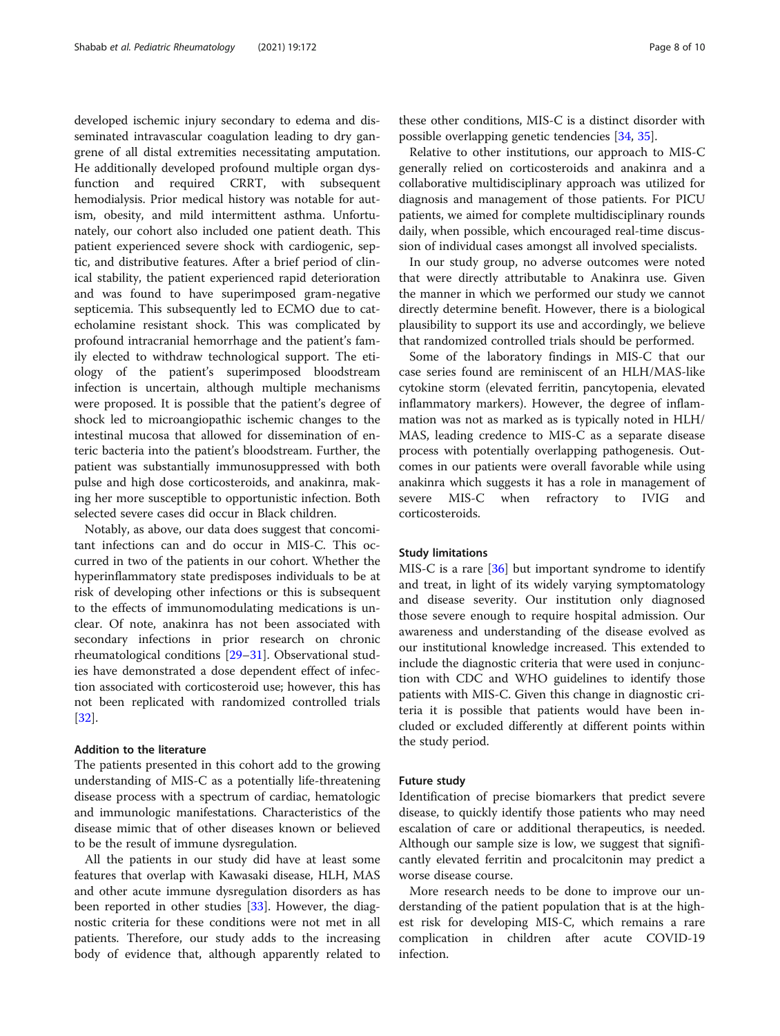developed ischemic injury secondary to edema and disseminated intravascular coagulation leading to dry gangrene of all distal extremities necessitating amputation. He additionally developed profound multiple organ dysfunction and required CRRT, with subsequent hemodialysis. Prior medical history was notable for autism, obesity, and mild intermittent asthma. Unfortunately, our cohort also included one patient death. This patient experienced severe shock with cardiogenic, septic, and distributive features. After a brief period of clinical stability, the patient experienced rapid deterioration and was found to have superimposed gram-negative septicemia. This subsequently led to ECMO due to catecholamine resistant shock. This was complicated by profound intracranial hemorrhage and the patient's family elected to withdraw technological support. The etiology of the patient's superimposed bloodstream infection is uncertain, although multiple mechanisms were proposed. It is possible that the patient's degree of shock led to microangiopathic ischemic changes to the intestinal mucosa that allowed for dissemination of enteric bacteria into the patient's bloodstream. Further, the patient was substantially immunosuppressed with both pulse and high dose corticosteroids, and anakinra, making her more susceptible to opportunistic infection. Both selected severe cases did occur in Black children.

Notably, as above, our data does suggest that concomitant infections can and do occur in MIS-C. This occurred in two of the patients in our cohort. Whether the hyperinflammatory state predisposes individuals to be at risk of developing other infections or this is subsequent to the effects of immunomodulating medications is unclear. Of note, anakinra has not been associated with secondary infections in prior research on chronic rheumatological conditions [\[29](#page-9-0)–[31\]](#page-9-0). Observational studies have demonstrated a dose dependent effect of infection associated with corticosteroid use; however, this has not been replicated with randomized controlled trials [[32\]](#page-9-0).

## Addition to the literature

The patients presented in this cohort add to the growing understanding of MIS-C as a potentially life-threatening disease process with a spectrum of cardiac, hematologic and immunologic manifestations. Characteristics of the disease mimic that of other diseases known or believed to be the result of immune dysregulation.

All the patients in our study did have at least some features that overlap with Kawasaki disease, HLH, MAS and other acute immune dysregulation disorders as has been reported in other studies [[33](#page-9-0)]. However, the diagnostic criteria for these conditions were not met in all patients. Therefore, our study adds to the increasing body of evidence that, although apparently related to

these other conditions, MIS-C is a distinct disorder with possible overlapping genetic tendencies [\[34,](#page-9-0) [35\]](#page-9-0).

Relative to other institutions, our approach to MIS-C generally relied on corticosteroids and anakinra and a collaborative multidisciplinary approach was utilized for diagnosis and management of those patients. For PICU patients, we aimed for complete multidisciplinary rounds daily, when possible, which encouraged real-time discussion of individual cases amongst all involved specialists.

In our study group, no adverse outcomes were noted that were directly attributable to Anakinra use. Given the manner in which we performed our study we cannot directly determine benefit. However, there is a biological plausibility to support its use and accordingly, we believe that randomized controlled trials should be performed.

Some of the laboratory findings in MIS-C that our case series found are reminiscent of an HLH/MAS-like cytokine storm (elevated ferritin, pancytopenia, elevated inflammatory markers). However, the degree of inflammation was not as marked as is typically noted in HLH/ MAS, leading credence to MIS-C as a separate disease process with potentially overlapping pathogenesis. Outcomes in our patients were overall favorable while using anakinra which suggests it has a role in management of severe MIS-C when refractory to IVIG and corticosteroids.

#### Study limitations

MIS-C is a rare [[36](#page-9-0)] but important syndrome to identify and treat, in light of its widely varying symptomatology and disease severity. Our institution only diagnosed those severe enough to require hospital admission. Our awareness and understanding of the disease evolved as our institutional knowledge increased. This extended to include the diagnostic criteria that were used in conjunction with CDC and WHO guidelines to identify those patients with MIS-C. Given this change in diagnostic criteria it is possible that patients would have been included or excluded differently at different points within the study period.

#### Future study

Identification of precise biomarkers that predict severe disease, to quickly identify those patients who may need escalation of care or additional therapeutics, is needed. Although our sample size is low, we suggest that significantly elevated ferritin and procalcitonin may predict a worse disease course.

More research needs to be done to improve our understanding of the patient population that is at the highest risk for developing MIS-C, which remains a rare complication in children after acute COVID-19 infection.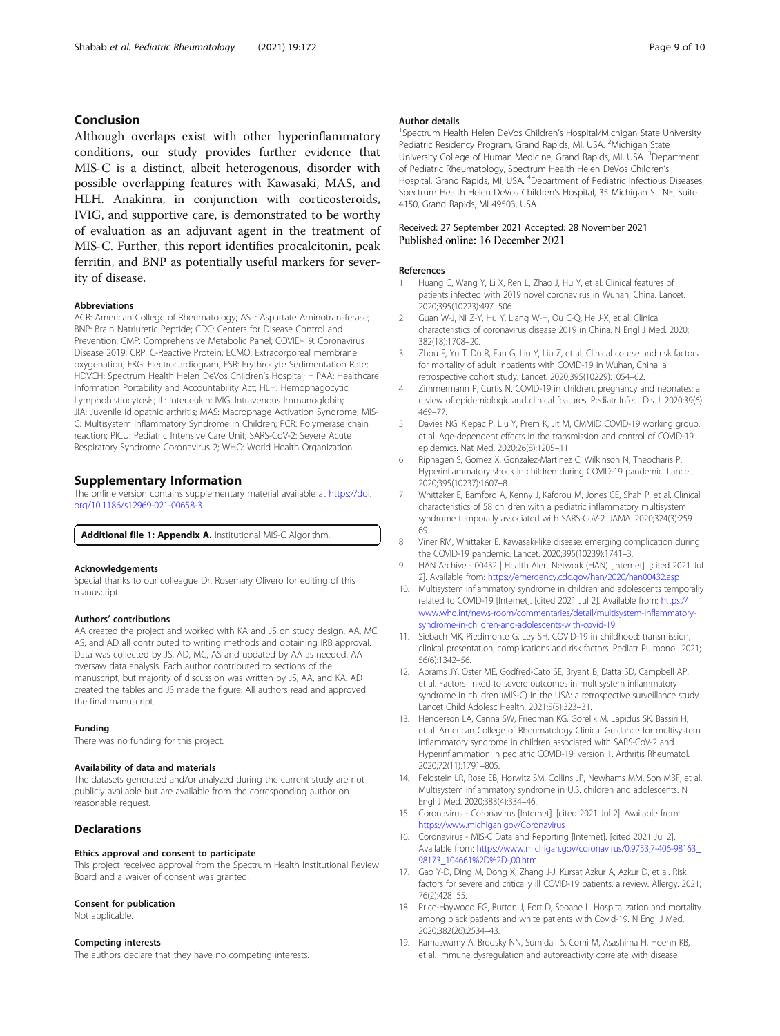# <span id="page-8-0"></span>Conclusion

Although overlaps exist with other hyperinflammatory conditions, our study provides further evidence that MIS-C is a distinct, albeit heterogenous, disorder with possible overlapping features with Kawasaki, MAS, and HLH. Anakinra, in conjunction with corticosteroids, IVIG, and supportive care, is demonstrated to be worthy of evaluation as an adjuvant agent in the treatment of MIS-C. Further, this report identifies procalcitonin, peak ferritin, and BNP as potentially useful markers for severity of disease.

#### Abbreviations

ACR: American College of Rheumatology; AST: Aspartate Aminotransferase; BNP: Brain Natriuretic Peptide; CDC: Centers for Disease Control and Prevention; CMP: Comprehensive Metabolic Panel; COVID-19: Coronavirus Disease 2019; CRP: C-Reactive Protein; ECMO: Extracorporeal membrane oxygenation; EKG: Electrocardiogram; ESR: Erythrocyte Sedimentation Rate; HDVCH: Spectrum Health Helen DeVos Children's Hospital; HIPAA: Healthcare Information Portability and Accountability Act; HLH: Hemophagocytic Lymphohistiocytosis; IL: Interleukin; IVIG: Intravenous Immunoglobin; JIA: Juvenile idiopathic arthritis; MAS: Macrophage Activation Syndrome; MIS-C: Multisystem Inflammatory Syndrome in Children; PCR: Polymerase chain reaction; PICU: Pediatric Intensive Care Unit; SARS-CoV-2: Severe Acute Respiratory Syndrome Coronavirus 2; WHO: World Health Organization

## Supplementary Information

The online version contains supplementary material available at [https://doi.](https://doi.org/10.1186/s12969-021-00658-3) [org/10.1186/s12969-021-00658-3.](https://doi.org/10.1186/s12969-021-00658-3)

Additional file 1: Appendix A. Institutional MIS-C Algorithm.

#### Acknowledgements

Special thanks to our colleague Dr. Rosemary Olivero for editing of this manuscript.

#### Authors' contributions

AA created the project and worked with KA and JS on study design. AA, MC, AS, and AD all contributed to writing methods and obtaining IRB approval. Data was collected by JS, AD, MC, AS and updated by AA as needed. AA oversaw data analysis. Each author contributed to sections of the manuscript, but majority of discussion was written by JS, AA, and KA. AD created the tables and JS made the figure. All authors read and approved the final manuscript.

#### Funding

There was no funding for this project.

#### Availability of data and materials

The datasets generated and/or analyzed during the current study are not publicly available but are available from the corresponding author on reasonable request.

## **Declarations**

#### Ethics approval and consent to participate

This project received approval from the Spectrum Health Institutional Review Board and a waiver of consent was granted.

#### Consent for publication

Not applicable.

## Competing interests

The authors declare that they have no competing interests.

#### Author details

<sup>1</sup>Spectrum Health Helen DeVos Children's Hospital/Michigan State University Pediatric Residency Program, Grand Rapids, MI, USA. <sup>2</sup>Michigan State University College of Human Medicine, Grand Rapids, MI, USA. <sup>3</sup>Department of Pediatric Rheumatology, Spectrum Health Helen DeVos Children's Hospital, Grand Rapids, MI, USA. <sup>4</sup>Department of Pediatric Infectious Diseases, Spectrum Health Helen DeVos Children's Hospital, 35 Michigan St. NE, Suite 4150, Grand Rapids, MI 49503, USA.

## Received: 27 September 2021 Accepted: 28 November 2021 Published online: 16 December 2021

#### References

- 1. Huang C, Wang Y, Li X, Ren L, Zhao J, Hu Y, et al. Clinical features of patients infected with 2019 novel coronavirus in Wuhan, China. Lancet. 2020;395(10223):497–506.
- 2. Guan W-J, Ni Z-Y, Hu Y, Liang W-H, Ou C-Q, He J-X, et al. Clinical characteristics of coronavirus disease 2019 in China. N Engl J Med. 2020; 382(18):1708–20.
- 3. Zhou F, Yu T, Du R, Fan G, Liu Y, Liu Z, et al. Clinical course and risk factors for mortality of adult inpatients with COVID-19 in Wuhan, China: a retrospective cohort study. Lancet. 2020;395(10229):1054–62.
- 4. Zimmermann P, Curtis N. COVID-19 in children, pregnancy and neonates: a review of epidemiologic and clinical features. Pediatr Infect Dis J. 2020;39(6): 469–77.
- 5. Davies NG, Klepac P, Liu Y, Prem K, Jit M, CMMID COVID-19 working group, et al. Age-dependent effects in the transmission and control of COVID-19 epidemics. Nat Med. 2020;26(8):1205–11.
- 6. Riphagen S, Gomez X, Gonzalez-Martinez C, Wilkinson N, Theocharis P. Hyperinflammatory shock in children during COVID-19 pandemic. Lancet. 2020;395(10237):1607–8.
- 7. Whittaker E, Bamford A, Kenny J, Kaforou M, Jones CE, Shah P, et al. Clinical characteristics of 58 children with a pediatric inflammatory multisystem syndrome temporally associated with SARS-CoV-2. JAMA. 2020;324(3):259– 69.
- 8. Viner RM, Whittaker E. Kawasaki-like disease: emerging complication during the COVID-19 pandemic. Lancet. 2020;395(10239):1741–3.
- 9. HAN Archive 00432 | Health Alert Network (HAN) [Internet]. [cited 2021 Jul 2]. Available from: <https://emergency.cdc.gov/han/2020/han00432.asp>
- 10. Multisystem inflammatory syndrome in children and adolescents temporally related to COVID-19 [Internet]. [cited 2021 Jul 2]. Available from: [https://](https://www.who.int/news-room/commentaries/detail/multisystem-inflammatory-syndrome-in-children-and-adolescents-with-covid-19) [www.who.int/news-room/commentaries/detail/multisystem-inflammatory](https://www.who.int/news-room/commentaries/detail/multisystem-inflammatory-syndrome-in-children-and-adolescents-with-covid-19)[syndrome-in-children-and-adolescents-with-covid-19](https://www.who.int/news-room/commentaries/detail/multisystem-inflammatory-syndrome-in-children-and-adolescents-with-covid-19)
- 11. Siebach MK, Piedimonte G, Ley SH. COVID-19 in childhood: transmission, clinical presentation, complications and risk factors. Pediatr Pulmonol. 2021; 56(6):1342–56.
- 12. Abrams JY, Oster ME, Godfred-Cato SE, Bryant B, Datta SD, Campbell AP, et al. Factors linked to severe outcomes in multisystem inflammatory syndrome in children (MIS-C) in the USA: a retrospective surveillance study. Lancet Child Adolesc Health. 2021;5(5):323–31.
- 13. Henderson LA, Canna SW, Friedman KG, Gorelik M, Lapidus SK, Bassiri H, et al. American College of Rheumatology Clinical Guidance for multisystem inflammatory syndrome in children associated with SARS-CoV-2 and Hyperinflammation in pediatric COVID-19: version 1. Arthritis Rheumatol. 2020;72(11):1791–805.
- 14. Feldstein LR, Rose EB, Horwitz SM, Collins JP, Newhams MM, Son MBF, et al. Multisystem inflammatory syndrome in U.S. children and adolescents. N Engl J Med. 2020;383(4):334–46.
- 15. Coronavirus Coronavirus [Internet]. [cited 2021 Jul 2]. Available from: <https://www.michigan.gov/Coronavirus>
- 16. Coronavirus MIS-C Data and Reporting [Internet]. [cited 2021 Jul 2]. Available from: [https://www.michigan.gov/coronavirus/0,9753,7-406-98163\\_](https://www.michigan.gov/coronavirus/0,9753,7-406-98163_98173_104661%2D%2D-,00.html) [98173\\_104661%2D%2D-,00.html](https://www.michigan.gov/coronavirus/0,9753,7-406-98163_98173_104661%2D%2D-,00.html)
- 17. Gao Y-D, Ding M, Dong X, Zhang J-J, Kursat Azkur A, Azkur D, et al. Risk factors for severe and critically ill COVID-19 patients: a review. Allergy. 2021; 76(2):428–55.
- 18. Price-Haywood EG, Burton J, Fort D, Seoane L. Hospitalization and mortality among black patients and white patients with Covid-19. N Engl J Med. 2020;382(26):2534–43.
- 19. Ramaswamy A, Brodsky NN, Sumida TS, Comi M, Asashima H, Hoehn KB, et al. Immune dysregulation and autoreactivity correlate with disease